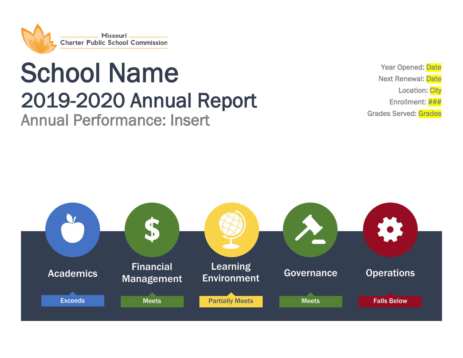

# School Name<br>
2019-2020 Annual Report<br>
Annual Performance: Insert

Year Opened: Date Next Renewal: Date Location: City Enrollment: ### Grades Served: Grades

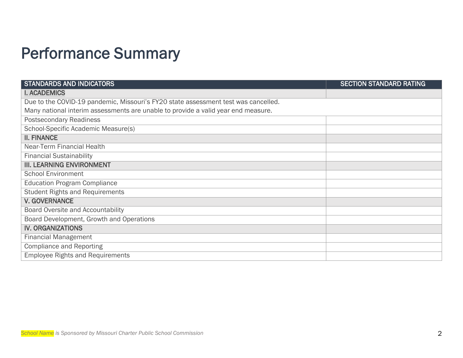## Performance Summary

| <b>STANDARDS AND INDICATORS</b>                                                    | <b>SECTION STANDARD RATING</b> |
|------------------------------------------------------------------------------------|--------------------------------|
| <b>I. ACADEMICS</b>                                                                |                                |
| Due to the COVID-19 pandemic, Missouri's FY20 state assessment test was cancelled. |                                |
| Many national interim assessments are unable to provide a valid year end measure.  |                                |
| <b>Postsecondary Readiness</b>                                                     |                                |
| School-Specific Academic Measure(s)                                                |                                |
| <b>II. FINANCE</b>                                                                 |                                |
| Near-Term Financial Health                                                         |                                |
| <b>Financial Sustainability</b>                                                    |                                |
| <b>III. LEARNING ENVIRONMENT</b>                                                   |                                |
| <b>School Environment</b>                                                          |                                |
| <b>Education Program Compliance</b>                                                |                                |
| <b>Student Rights and Requirements</b>                                             |                                |
| <b>V. GOVERNANCE</b>                                                               |                                |
| Board Oversite and Accountability                                                  |                                |
| Board Development, Growth and Operations                                           |                                |
| <b>IV. ORGANIZATIONS</b>                                                           |                                |
| <b>Financial Management</b>                                                        |                                |
| <b>Compliance and Reporting</b>                                                    |                                |
| <b>Employee Rights and Requirements</b>                                            |                                |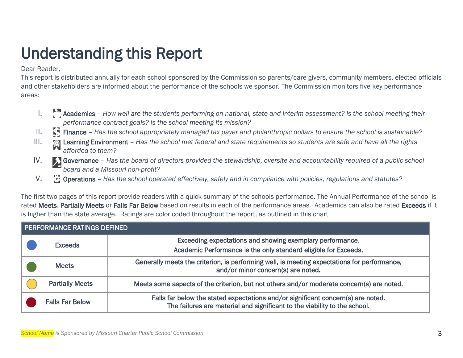# Understanding this Report<br>Dear Reader,

This report is distributed annually for each school sponsored by the Commission so parents/care givers, community members, elected officials and other stakeholders are informed about the performance of the schools we sponsor. The Commission monitors five key performance areas:

- 1. Academics How well are the students performing on national, state and interim assessment? Is the school meeting their *performance contract goals? Is the school meeting its mission?*
- II. Finance Has the school appropriately managed tax payer and philanthropic dollars to ensure the school is sustainable?
- III. **In Learning Environment** Has the school met federal and state requirements so students are safe and have all the rights *afforded to them?*
- IV. Surfarmance Has the board of directors provided the stewardship, oversite and accountability required of a public school *board and a Missouri non-profit?*
- V. Operations *Has the school operated effectively, safely and in compliance with policies, regulations and statutes?*

The first two pages of this report provide readers with a quick summary of the schools performance. The Annual Performance of the school is rated Meets, Partially Meets or Falls Far Below based on results in each of the performance areas. Academics can also be rated Exceeds if it is higher than the state average. Ratings are color coded throughout the report, as outlined in this chart

| PERFORMANCE RATINGS DEFINED                                                                                                                    |                        |                                                                                                                                                               |  |  |  |  |  |  |  |
|------------------------------------------------------------------------------------------------------------------------------------------------|------------------------|---------------------------------------------------------------------------------------------------------------------------------------------------------------|--|--|--|--|--|--|--|
| Exceeding expectations and showing exemplary performance.<br><b>Exceeds</b><br>Academic Performance is the only standard eligible for Exceeds. |                        |                                                                                                                                                               |  |  |  |  |  |  |  |
|                                                                                                                                                | <b>Meets</b>           | Generally meets the criterion, is performing well, is meeting expectations for performance,<br>and/or minor concern(s) are noted.                             |  |  |  |  |  |  |  |
|                                                                                                                                                | <b>Partially Meets</b> | Meets some aspects of the criterion, but not others and/or moderate concern(s) are noted.                                                                     |  |  |  |  |  |  |  |
|                                                                                                                                                | <b>Falls Far Below</b> | Falls far below the stated expectations and/or significant concern(s) are noted.<br>The failures are material and significant to the viability to the school. |  |  |  |  |  |  |  |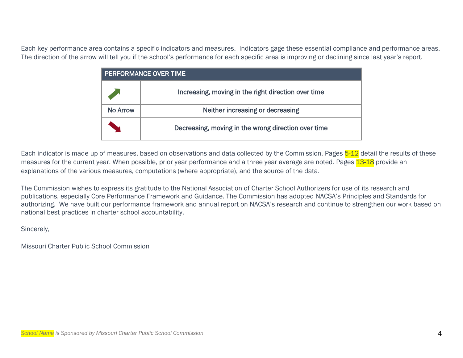Each key performance area contains a specific indicators and measures. Indicators gage these essential compliance and performance areas. The direction of the arrow will tell you if the school's performance for each specific area is improving or declining since last year's report.

| <b>PERFORMANCE OVER TIME</b> |                                                     |  |  |  |  |  |  |  |
|------------------------------|-----------------------------------------------------|--|--|--|--|--|--|--|
|                              | Increasing, moving in the right direction over time |  |  |  |  |  |  |  |
| No Arrow                     | Neither increasing or decreasing                    |  |  |  |  |  |  |  |
|                              | Decreasing, moving in the wrong direction over time |  |  |  |  |  |  |  |

Each indicator is made up of measures, based on observations and data collected by the Commission. Pages 5-12 detail the results of these measures for the current year. When possible, prior year performance and a three year average are noted. Pages 13-18 provide an explanations of the various measures, computations (where appropriate), and the source of the data.

The Commission wishes to express its gratitude to the National Association of Charter School Authorizers for use of its research and publications, especially Core Performance Framework and Guidance. The Commission has adopted NACSA's Principles and Standards for authorizing. We have built our performance framework and annual report on NACSA's research and continue to strengthen our work based on national best practices in charter school accountability.

Sincerely,

Missouri Charter Public School Commission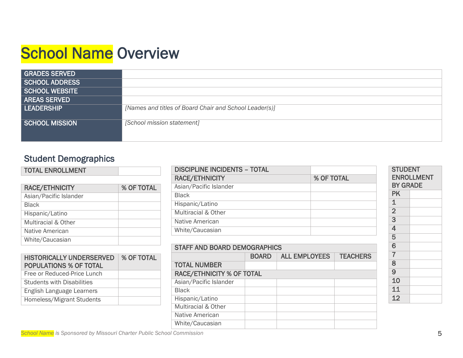## **School Name Overview**

| <b>GRADES SERVED</b>  |                                                        |
|-----------------------|--------------------------------------------------------|
| SCHOOL ADDRESS        |                                                        |
| <b>SCHOOL WEBSITE</b> |                                                        |
| <b>AREAS SERVED</b>   |                                                        |
| <b>LEADERSHIP</b>     | [Names and titles of Board Chair and School Leader(s)] |
| <b>SCHOOL MISSION</b> | [School mission statement]                             |

## Student Demographics

| <b>TOTAL ENROLLMENT</b> |            |
|-------------------------|------------|
|                         |            |
| <b>RACE/ETHNICITY</b>   | % OF TOTAL |
| Asian/Pacific Islander  |            |
| <b>Black</b>            |            |
| Hispanic/Latino         |            |
| Multiracial & Other     |            |
| Native American         |            |
| White/Caucasian         |            |

| <b>HISTORICALLY UNDERSERVED</b><br><b>POPULATIONS % OF TOTAL</b> | % OF TOTAL |
|------------------------------------------------------------------|------------|
| Free or Reduced-Price Lunch                                      |            |
| <b>Students with Disabilities</b>                                |            |
| English Language Learners                                        |            |
| Homeless/Migrant Students                                        |            |

| <b>DISCIPLINE INCIDENTS - TOTAL</b> |            |
|-------------------------------------|------------|
| <b>RACE/ETHNICITY</b>               | % OF TOTAL |
| Asian/Pacific Islander              |            |
| <b>Black</b>                        |            |
| Hispanic/Latino                     |            |
| <b>Multiracial &amp; Other</b>      |            |
| Native American                     |            |
| White/Caucasian                     |            |

| <b>STAFF AND BOARD DEMOGRAPHICS</b> |                                                         |  |  |  |  |  |  |  |
|-------------------------------------|---------------------------------------------------------|--|--|--|--|--|--|--|
|                                     | <b>ALL EMPLOYEES</b><br><b>TEACHERS</b><br><b>BOARD</b> |  |  |  |  |  |  |  |
| <b>TOTAL NUMBER</b>                 |                                                         |  |  |  |  |  |  |  |
| <b>RACE/ETHNICITY % OF TOTAL</b>    |                                                         |  |  |  |  |  |  |  |
| Asian/Pacific Islander              |                                                         |  |  |  |  |  |  |  |
| <b>Black</b>                        |                                                         |  |  |  |  |  |  |  |
| Hispanic/Latino                     |                                                         |  |  |  |  |  |  |  |
| <b>Multiracial &amp; Other</b>      |                                                         |  |  |  |  |  |  |  |
| Native American                     |                                                         |  |  |  |  |  |  |  |
| White/Caucasian                     |                                                         |  |  |  |  |  |  |  |

| <b>STUDENT</b><br><b>ENROLLMENT</b> |  |  |  |  |  |  |  |
|-------------------------------------|--|--|--|--|--|--|--|
| <b>BY GRADE</b><br>PK               |  |  |  |  |  |  |  |
| $\mathbf 1$                         |  |  |  |  |  |  |  |
| $\overline{2}$                      |  |  |  |  |  |  |  |
| $\overline{3}$                      |  |  |  |  |  |  |  |
| 4                                   |  |  |  |  |  |  |  |
| 5                                   |  |  |  |  |  |  |  |
| 6                                   |  |  |  |  |  |  |  |
| $\overline{7}$                      |  |  |  |  |  |  |  |
| 8                                   |  |  |  |  |  |  |  |
| $\overline{9}$                      |  |  |  |  |  |  |  |
| 10                                  |  |  |  |  |  |  |  |
| 11                                  |  |  |  |  |  |  |  |
| 12                                  |  |  |  |  |  |  |  |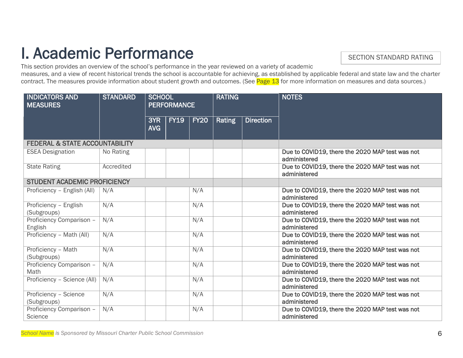# **I. Academic Performance**<br>This section provides an overview of the school's performance in the year reviewed on a variety of academic

#### SECTION STANDARD RATING

measures, and a view of recent historical trends the school is accountable for achieving, as established by applicable federal and state law and the charter contract. The measures provide information about student growth and outcomes. (See Page 13 for more information on measures and data sources.)

| <b>INDICATORS AND</b><br><b>MEASURES</b>  | <b>STANDARD</b> | <b>SCHOOL</b>     | <b>PERFORMANCE</b> |             | <b>RATING</b> |                  | <b>NOTES</b>                                                    |  |
|-------------------------------------------|-----------------|-------------------|--------------------|-------------|---------------|------------------|-----------------------------------------------------------------|--|
|                                           |                 | 3YR<br><b>AVG</b> | <b>FY19</b>        | <b>FY20</b> | Rating        | <b>Direction</b> |                                                                 |  |
| <b>FEDERAL &amp; STATE ACCOUNTABILITY</b> |                 |                   |                    |             |               |                  |                                                                 |  |
| <b>ESEA Designation</b>                   | No Rating       |                   |                    |             |               |                  | Due to COVID19, there the 2020 MAP test was not<br>administered |  |
| <b>State Rating</b>                       | Accredited      |                   |                    |             |               |                  | Due to COVID19, there the 2020 MAP test was not<br>administered |  |
| <b>STUDENT ACADEMIC PROFICIENCY</b>       |                 |                   |                    |             |               |                  |                                                                 |  |
| Proficiency - English (All)               | N/A             |                   |                    | N/A         |               |                  | Due to COVID19, there the 2020 MAP test was not<br>administered |  |
| Proficiency - English<br>(Subgroups)      | N/A             |                   |                    | N/A         |               |                  | Due to COVID19, there the 2020 MAP test was not<br>administered |  |
| Proficiency Comparison -<br>English       | N/A             |                   |                    | N/A         |               |                  | Due to COVID19, there the 2020 MAP test was not<br>administered |  |
| Proficiency - Math (All)                  | N/A             |                   |                    | N/A         |               |                  | Due to COVID19, there the 2020 MAP test was not<br>administered |  |
| Proficiency - Math<br>(Subgroups)         | N/A             |                   |                    | N/A         |               |                  | Due to COVID19, there the 2020 MAP test was not<br>administered |  |
| Proficiency Comparison -<br>Math          | N/A             |                   |                    | N/A         |               |                  | Due to COVID19, there the 2020 MAP test was not<br>administered |  |
| Proficiency - Science (All)               | N/A             |                   |                    | N/A         |               |                  | Due to COVID19, there the 2020 MAP test was not<br>administered |  |
| Proficiency - Science<br>(Subgroups)      | N/A             |                   |                    | N/A         |               |                  | Due to COVID19, there the 2020 MAP test was not<br>administered |  |
| Proficiency Comparison -<br>Science       | N/A             |                   |                    | N/A         |               |                  | Due to COVID19, there the 2020 MAP test was not<br>administered |  |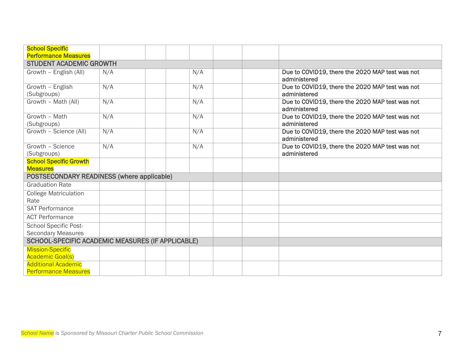| <b>School Specific</b><br><b>Performance Measures</b>    |     |  |  |     |  |                                                 |
|----------------------------------------------------------|-----|--|--|-----|--|-------------------------------------------------|
| <b>STUDENT ACADEMIC GROWTH</b>                           |     |  |  |     |  |                                                 |
| Growth - English (All)                                   | N/A |  |  | N/A |  | Due to COVID19, there the 2020 MAP test was not |
|                                                          |     |  |  |     |  | administered                                    |
| Growth - English                                         | N/A |  |  | N/A |  | Due to COVID19, there the 2020 MAP test was not |
| (Subgroups)                                              |     |  |  |     |  | administered                                    |
| Growth - Math (All)                                      | N/A |  |  | N/A |  | Due to COVID19, there the 2020 MAP test was not |
|                                                          |     |  |  |     |  | administered                                    |
| Growth - Math                                            | N/A |  |  | N/A |  | Due to COVID19, there the 2020 MAP test was not |
| (Subgroups)                                              |     |  |  |     |  | administered                                    |
| Growth - Science (All)                                   | N/A |  |  | N/A |  | Due to COVID19, there the 2020 MAP test was not |
|                                                          |     |  |  |     |  | administered                                    |
| Growth - Science                                         | N/A |  |  | N/A |  | Due to COVID19, there the 2020 MAP test was not |
| (Subgroups)                                              |     |  |  |     |  | administered                                    |
| <b>School Specific Growth</b>                            |     |  |  |     |  |                                                 |
| <b>Measures</b>                                          |     |  |  |     |  |                                                 |
| POSTSECONDARY READINESS (where applicable)               |     |  |  |     |  |                                                 |
| <b>Graduation Rate</b>                                   |     |  |  |     |  |                                                 |
| <b>College Matriculation</b>                             |     |  |  |     |  |                                                 |
| Rate                                                     |     |  |  |     |  |                                                 |
| <b>SAT Performance</b>                                   |     |  |  |     |  |                                                 |
| <b>ACT Performance</b>                                   |     |  |  |     |  |                                                 |
| <b>School Specific Post-</b>                             |     |  |  |     |  |                                                 |
| <b>Secondary Measures</b>                                |     |  |  |     |  |                                                 |
| <b>SCHOOL-SPECIFIC ACADEMIC MEASURES (IF APPLICABLE)</b> |     |  |  |     |  |                                                 |
| <b>Mission-Specific</b>                                  |     |  |  |     |  |                                                 |
| <b>Academic Goal(s)</b>                                  |     |  |  |     |  |                                                 |
| <b>Additional Academic</b>                               |     |  |  |     |  |                                                 |
| <b>Performance Measures</b>                              |     |  |  |     |  |                                                 |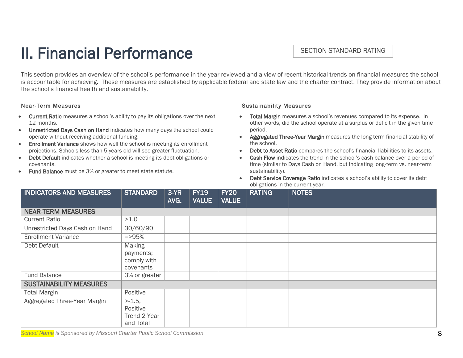## II. Financial Performance

#### SECTION STANDARD RATING

This section provides an overview of the school's performance in the year reviewed and a view of recent historical trends on financial measures the school is accountable for achieving. These measures are established by applicable federal and state law and the charter contract. They provide information about the school's financial health and sustainability.

#### Near-Term Measures

- Current Ratio measures a school's ability to pay its obligations over the next 12 months.
- Unrestricted Days Cash on Hand indicates how many days the school could operate without receiving additional funding.
- **Enrollment Variance** shows how well the school is meeting its enrollment projections. Schools less than 5 years old will see greater fluctuation.
- Debt Default indicates whether a school is meeting its debt obligations or covenants.
- Fund Balance must be 3% or greater to meet state statute.

#### Sustainability Measures

- Total Margin measures a school's revenues compared to its expense. In other words, did the school operate at a surplus or deficit in the given time period.
- Aggregated Three-Year Margin measures the long-term financial stability of the school.
- Debt to Asset Ratio compares the school's financial liabilities to its assets.
- Cash Flow indicates the trend in the school's cash balance over a period of time (similar to Days Cash on Hand, but indicating long-term vs. near-term sustainability).
- Debt Service Coverage Ratio indicates a school's ability to cover its debt obligations in the current year.

| <b>INDICATORS AND MEASURES</b> | <b>STANDARD</b>                                        | 3-YR<br>AVG. | <b>FY19</b><br><b>VALUE</b> | <b>FY20</b><br><b>VALUE</b> | <b>RATING</b> | <b>NOTES</b> |
|--------------------------------|--------------------------------------------------------|--------------|-----------------------------|-----------------------------|---------------|--------------|
| <b>NEAR-TERM MEASURES</b>      |                                                        |              |                             |                             |               |              |
| <b>Current Ratio</b>           | >1.0                                                   |              |                             |                             |               |              |
| Unrestricted Days Cash on Hand | 30/60/90                                               |              |                             |                             |               |              |
| <b>Enrollment Variance</b>     | $=$ >95%                                               |              |                             |                             |               |              |
| Debt Default                   | <b>Making</b><br>payments;<br>comply with<br>covenants |              |                             |                             |               |              |
| <b>Fund Balance</b>            | 3% or greater                                          |              |                             |                             |               |              |
| <b>SUSTAINABILITY MEASURES</b> |                                                        |              |                             |                             |               |              |
| <b>Total Margin</b>            | Positive                                               |              |                             |                             |               |              |
| Aggregated Three-Year Margin   | $> -1.5$ ,<br>Positive<br>Trend 2 Year<br>and Total    |              |                             |                             |               |              |

*School Name is Sponsored by Missouri Charter Public School Commission* 8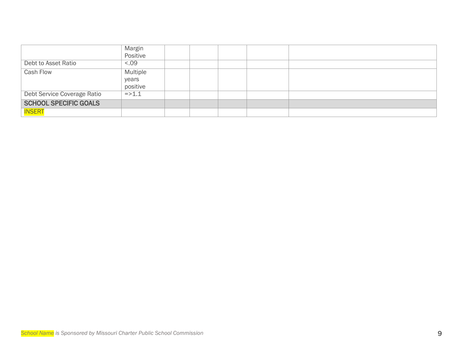|                              | Margin          |  |  |  |
|------------------------------|-----------------|--|--|--|
|                              | Positive        |  |  |  |
| Debt to Asset Ratio          | 0.5<            |  |  |  |
| <b>Cash Flow</b>             | <b>Multiple</b> |  |  |  |
|                              | years           |  |  |  |
|                              | positive        |  |  |  |
| Debt Service Coverage Ratio  | $= > 1.1$       |  |  |  |
| <b>SCHOOL SPECIFIC GOALS</b> |                 |  |  |  |
| <b>INSERT</b>                |                 |  |  |  |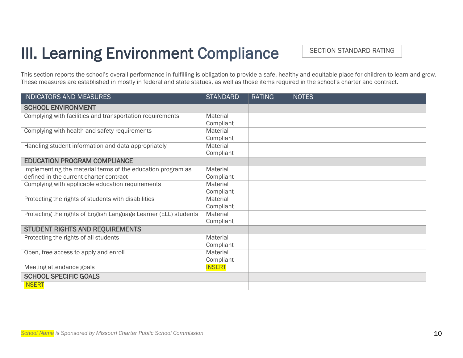## III. Learning Environment Compliance

SECTION STANDARD RATING

This section reports the school's overall performance in fulfilling is obligation to provide a safe, healthy and equitable place for children to learn and grow. These measures are established in mostly in federal and state statues, as well as those items required in the school's charter and contract.

| <b>INDICATORS AND MEASURES</b>                                   | <b>STANDARD</b> | <b>RATING</b> | <b>NOTES</b> |
|------------------------------------------------------------------|-----------------|---------------|--------------|
| <b>SCHOOL ENVIRONMENT</b>                                        |                 |               |              |
| Complying with facilities and transportation requirements        | Material        |               |              |
|                                                                  | Compliant       |               |              |
| Complying with health and safety requirements                    | Material        |               |              |
|                                                                  | Compliant       |               |              |
| Handling student information and data appropriately              | Material        |               |              |
|                                                                  | Compliant       |               |              |
| <b>EDUCATION PROGRAM COMPLIANCE</b>                              |                 |               |              |
| Implementing the material terms of the education program as      | Material        |               |              |
| defined in the current charter contract                          | Compliant       |               |              |
| Complying with applicable education requirements                 | Material        |               |              |
|                                                                  | Compliant       |               |              |
| Protecting the rights of students with disabilities              | Material        |               |              |
|                                                                  | Compliant       |               |              |
| Protecting the rights of English Language Learner (ELL) students | Material        |               |              |
|                                                                  | Compliant       |               |              |
| STUDENT RIGHTS AND REQUIREMENTS                                  |                 |               |              |
| Protecting the rights of all students                            | Material        |               |              |
|                                                                  | Compliant       |               |              |
| Open, free access to apply and enroll                            | Material        |               |              |
|                                                                  | Compliant       |               |              |
| Meeting attendance goals                                         | <b>INSERT</b>   |               |              |
| <b>SCHOOL SPECIFIC GOALS</b>                                     |                 |               |              |
| <b>INSERT</b>                                                    |                 |               |              |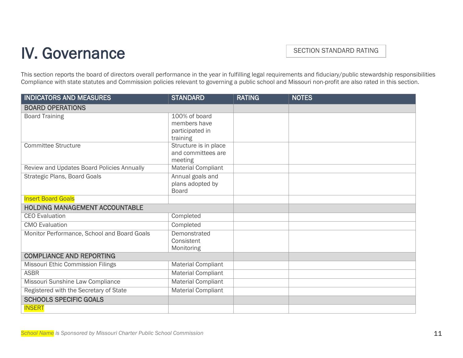## IV. Governance

SECTION STANDARD RATING

This section reports the board of directors overall performance in the year in fulfilling legal requirements and fiduciary/public stewardship responsibilities Compliance with state statutes and Commission policies relevant to governing a public school and Missouri non-profit are also rated in this section.

| <b>INDICATORS AND MEASURES</b>              | STAN <u>DARD</u>                                             | <b>RATING</b> | <b>NOTES</b> |
|---------------------------------------------|--------------------------------------------------------------|---------------|--------------|
| <b>BOARD OPERATIONS</b>                     |                                                              |               |              |
| <b>Board Training</b>                       | 100% of board<br>members have<br>participated in<br>training |               |              |
| <b>Committee Structure</b>                  | Structure is in place<br>and committees are<br>meeting       |               |              |
| Review and Updates Board Policies Annually  | <b>Material Compliant</b>                                    |               |              |
| <b>Strategic Plans, Board Goals</b>         | Annual goals and<br>plans adopted by<br><b>Board</b>         |               |              |
| <b>Insert Board Goals</b>                   |                                                              |               |              |
| HOLDING MANAGEMENT ACCOUNTABLE              |                                                              |               |              |
| <b>CEO</b> Evaluation                       | Completed                                                    |               |              |
| <b>CMO</b> Evaluation                       | Completed                                                    |               |              |
| Monitor Performance, School and Board Goals | Demonstrated<br>Consistent<br>Monitoring                     |               |              |
| <b>COMPLIANCE AND REPORTING</b>             |                                                              |               |              |
| Missouri Ethic Commission Filings           | <b>Material Compliant</b>                                    |               |              |
| <b>ASBR</b>                                 | <b>Material Compliant</b>                                    |               |              |
| Missouri Sunshine Law Compliance            | <b>Material Compliant</b>                                    |               |              |
| Registered with the Secretary of State      | <b>Material Compliant</b>                                    |               |              |
| <b>SCHOOLS SPECIFIC GOALS</b>               |                                                              |               |              |
| <b>INSERT</b>                               |                                                              |               |              |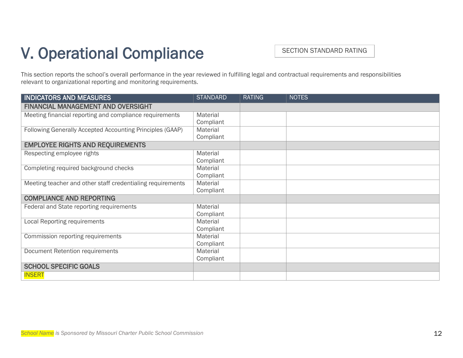## V. Operational Compliance

SECTION STANDARD RATING

This section reports the school's overall performance in the year reviewed in fulfilling legal and contractual requirements and responsibilities relevant to organizational reporting and monitoring requirements.

| <b>INDICATORS AND MEASURES</b>                             | <b>STANDARD</b> | <b>RATING</b> | <b>NOTES</b> |
|------------------------------------------------------------|-----------------|---------------|--------------|
| <b>FINANCIAL MANAGEMENT AND OVERSIGHT</b>                  |                 |               |              |
| Meeting financial reporting and compliance requirements    | Material        |               |              |
|                                                            | Compliant       |               |              |
| Following Generally Accepted Accounting Principles (GAAP)  | Material        |               |              |
|                                                            | Compliant       |               |              |
| <b>EMPLOYEE RIGHTS AND REQUIREMENTS</b>                    |                 |               |              |
| Respecting employee rights                                 | Material        |               |              |
|                                                            | Compliant       |               |              |
| Completing required background checks                      | Material        |               |              |
|                                                            | Compliant       |               |              |
| Meeting teacher and other staff credentialing requirements | Material        |               |              |
|                                                            | Compliant       |               |              |
| <b>COMPLIANCE AND REPORTING</b>                            |                 |               |              |
| Federal and State reporting requirements                   | Material        |               |              |
|                                                            | Compliant       |               |              |
| Local Reporting requirements                               | Material        |               |              |
|                                                            | Compliant       |               |              |
| Commission reporting requirements                          | Material        |               |              |
|                                                            | Compliant       |               |              |
| Document Retention requirements                            | Material        |               |              |
|                                                            | Compliant       |               |              |
| <b>SCHOOL SPECIFIC GOALS</b>                               |                 |               |              |
| <b>INSERT</b>                                              |                 |               |              |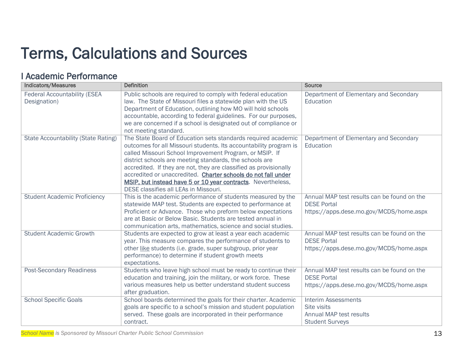## Terms, Calculations and Sources

#### I Academic Performance

| <b>Indicators/Measures</b>                          | <b>Definition</b>                                                                                                                                                                                                                                                                                                                                                                                                                                                                                       | <b>Source</b>                                                                                                |
|-----------------------------------------------------|---------------------------------------------------------------------------------------------------------------------------------------------------------------------------------------------------------------------------------------------------------------------------------------------------------------------------------------------------------------------------------------------------------------------------------------------------------------------------------------------------------|--------------------------------------------------------------------------------------------------------------|
| <b>Federal Accountability (ESEA</b><br>Designation) | Public schools are required to comply with federal education<br>law. The State of Missouri files a statewide plan with the US<br>Department of Education, outlining how MO will hold schools<br>accountable, according to federal guidelines. For our purposes,<br>we are concerned if a school is designated out of compliance or<br>not meeting standard.                                                                                                                                             | Department of Elementary and Secondary<br>Education                                                          |
| <b>State Accountability (State Rating)</b>          | The State Board of Education sets standards required academic<br>outcomes for all Missouri students. Its accountability program is<br>called Missouri School Improvement Program, or MSIP. If<br>district schools are meeting standards, the schools are<br>accredited. If they are not, they are classified as provisionally<br>accredited or unaccredited. Charter schools do not fall under<br>MSIP, but instead have 5 or 10 year contracts. Nevertheless,<br>DESE classifies all LEAs in Missouri. | Department of Elementary and Secondary<br>Education                                                          |
| <b>Student Academic Proficiency</b>                 | This is the academic performance of students measured by the<br>statewide MAP test. Students are expected to performance at<br>Proficient or Advance. Those who preform below expectations<br>are at Basic or Below Basic. Students are tested annual in<br>communication arts, mathematics, science and social studies.                                                                                                                                                                                | Annual MAP test results can be found on the<br><b>DESE Portal</b><br>https://apps.dese.mo.gov/MCDS/home.aspx |
| <b>Student Academic Growth</b>                      | Students are expected to grow at least a year each academic<br>year. This measure compares the performance of students to<br>other like students (i.e. grade, super subgroup, prior year<br>performance) to determine if student growth meets<br>expectations.                                                                                                                                                                                                                                          | Annual MAP test results can be found on the<br><b>DESE Portal</b><br>https://apps.dese.mo.gov/MCDS/home.aspx |
| <b>Post-Secondary Readiness</b>                     | Students who leave high school must be ready to continue their<br>education and training, join the military, or work force. These<br>various measures help us better understand student success<br>after graduation.                                                                                                                                                                                                                                                                                    | Annual MAP test results can be found on the<br><b>DESE Portal</b><br>https://apps.dese.mo.gov/MCDS/home.aspx |
| <b>School Specific Goals</b>                        | School boards determined the goals for their charter. Academic<br>goals are specific to a school's mission and student population<br>served. These goals are incorporated in their performance<br>contract.                                                                                                                                                                                                                                                                                             | <b>Interim Assessments</b><br>Site visits<br>Annual MAP test results<br><b>Student Surveys</b>               |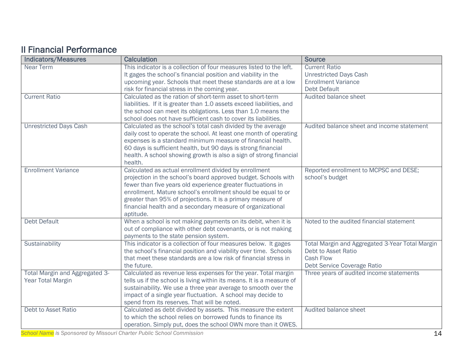### **II Financial Performance**

| <b>Indicators/Measures</b>     | <b>Calculation</b>                                                                                                      | <b>Source</b>                                             |
|--------------------------------|-------------------------------------------------------------------------------------------------------------------------|-----------------------------------------------------------|
| Near Term                      | This indicator is a collection of four measures listed to the left.                                                     | <b>Current Ratio</b>                                      |
|                                | It gages the school's financial position and viability in the                                                           | <b>Unrestricted Days Cash</b>                             |
|                                | upcoming year. Schools that meet these standards are at a low                                                           | <b>Enrollment Variance</b>                                |
|                                | risk for financial stress in the coming year.                                                                           | <b>Debt Default</b>                                       |
| <b>Current Ratio</b>           | Calculated as the ration of short-term asset to short-term                                                              | Audited balance sheet                                     |
|                                | liabilities. If it is greater than 1.0 assets exceed liabilities, and                                                   |                                                           |
|                                | the school can meet its obligations. Less than 1.0 means the                                                            |                                                           |
|                                | school does not have sufficient cash to cover its liabilities.                                                          |                                                           |
| <b>Unrestricted Days Cash</b>  | Calculated as the school's total cash divided by the average                                                            | Audited balance sheet and income statement                |
|                                | daily cost to operate the school. At least one month of operating                                                       |                                                           |
|                                | expenses is a standard minimum measure of financial health.                                                             |                                                           |
|                                | 60 days is sufficient health, but 90 days is strong financial                                                           |                                                           |
|                                | health. A school showing growth is also a sign of strong financial                                                      |                                                           |
|                                | health.                                                                                                                 |                                                           |
| <b>Enrollment Variance</b>     | Calculated as actual enrollment divided by enrollment<br>projection in the school's board approved budget. Schools with | Reported enrollment to MCPSC and DESE;<br>school's budget |
|                                | fewer than five years old experience greater fluctuations in                                                            |                                                           |
|                                | enrollment. Mature school's enrollment should be equal to or                                                            |                                                           |
|                                | greater than 95% of projections. It is a primary measure of                                                             |                                                           |
|                                | financial health and a secondary measure of organizational                                                              |                                                           |
|                                | aptitude.                                                                                                               |                                                           |
| <b>Debt Default</b>            | When a school is not making payments on its debit, when it is                                                           | Noted to the audited financial statement                  |
|                                | out of compliance with other debt covenants, or is not making                                                           |                                                           |
|                                | payments to the state pension system.                                                                                   |                                                           |
| Sustainability                 | This indicator is a collection of four measures below. It gages                                                         | Total Margin and Aggregated 3-Year Total Margin           |
|                                | the school's financial position and viability over time. Schools                                                        | Debt to Asset Ratio                                       |
|                                | that meet these standards are a low risk of financial stress in                                                         | <b>Cash Flow</b>                                          |
|                                | the future.                                                                                                             | Debt Service Coverage Ratio                               |
| Total Margin and Aggregated 3- | Calculated as revenue less expenses for the year. Total margin                                                          | Three years of audited income statements                  |
| Year Total Margin              | tells us if the school is living within its means. It is a measure of                                                   |                                                           |
|                                | sustainability. We use a three year average to smooth over the                                                          |                                                           |
|                                | impact of a single year fluctuation. A school may decide to                                                             |                                                           |
|                                | spend from its reserves. That will be noted.                                                                            |                                                           |
| Debt to Asset Ratio            | Calculated as debt divided by assets. This measure the extent                                                           | Audited balance sheet                                     |
|                                | to which the school relies on borrowed funds to finance its                                                             |                                                           |
|                                | operation. Simply put, does the school OWN more than it OWES.                                                           |                                                           |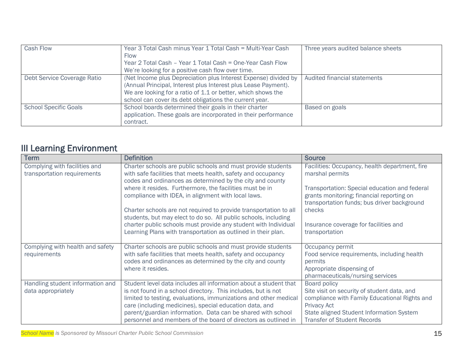| Cash Flow                    | Year 3 Total Cash minus Year 1 Total Cash = Multi-Year Cash<br><b>Flow</b><br>Year 2 Total Cash - Year 1 Total Cash = One-Year Cash Flow<br>We're looking for a positive cash flow over time.                                                                | Three years audited balance sheets |
|------------------------------|--------------------------------------------------------------------------------------------------------------------------------------------------------------------------------------------------------------------------------------------------------------|------------------------------------|
| Debt Service Coverage Ratio  | (Net Income plus Depreciation plus Interest Expense) divided by<br>(Annual Principal, Interest plus Interest plus Lease Payment).<br>We are looking for a ratio of 1.1 or better, which shows the<br>school can cover its debt obligations the current year. | Audited financial statements       |
| <b>School Specific Goals</b> | School boards determined their goals in their charter<br>application. These goals are incorporated in their performance<br>contract.                                                                                                                         | Based on goals                     |

| <b>III Learning Environment</b>                              |                                                                                                                                                                                                                                                                                                                                                                                                   |                                                                                                                                                                                                               |
|--------------------------------------------------------------|---------------------------------------------------------------------------------------------------------------------------------------------------------------------------------------------------------------------------------------------------------------------------------------------------------------------------------------------------------------------------------------------------|---------------------------------------------------------------------------------------------------------------------------------------------------------------------------------------------------------------|
| <b>Term</b>                                                  | <b>Definition</b>                                                                                                                                                                                                                                                                                                                                                                                 | <b>Source</b>                                                                                                                                                                                                 |
| Complying with facilities and<br>transportation requirements | Charter schools are public schools and must provide students<br>with safe facilities that meets health, safety and occupancy<br>codes and ordinances as determined by the city and county                                                                                                                                                                                                         | Facilities: Occupancy, health department, fire<br>marshal permits                                                                                                                                             |
|                                                              | where it resides. Furthermore, the facilities must be in<br>compliance with IDEA, in alignment with local laws.                                                                                                                                                                                                                                                                                   | Transportation: Special education and federal<br>grants monitoring; financial reporting on<br>transportation funds; bus driver background                                                                     |
|                                                              | Charter schools are not required to provide transportation to all<br>students, but may elect to do so. All public schools, including                                                                                                                                                                                                                                                              | checks                                                                                                                                                                                                        |
|                                                              | charter public schools must provide any student with Individual<br>Learning Plans with transportation as outlined in their plan.                                                                                                                                                                                                                                                                  | Insurance coverage for facilities and<br>transportation                                                                                                                                                       |
| Complying with health and safety<br>requirements             | Charter schools are public schools and must provide students<br>with safe facilities that meets health, safety and occupancy<br>codes and ordinances as determined by the city and county<br>where it resides.                                                                                                                                                                                    | Occupancy permit<br>Food service requirements, including health<br>permits<br>Appropriate dispensing of<br>pharmaceuticals/nursing services                                                                   |
| Handling student information and<br>data appropriately       | Student level data includes all information about a student that<br>is not found in a school directory. This includes, but is not<br>limited to testing, evaluations, immunizations and other medical<br>care (including medicines), special education data, and<br>parent/guardian information. Data can be shared with school<br>personnel and members of the board of directors as outlined in | Board policy<br>Site visit on security of student data, and<br>compliance with Family Educational Rights and<br>Privacy Act<br>State aligned Student Information System<br><b>Transfer of Student Records</b> |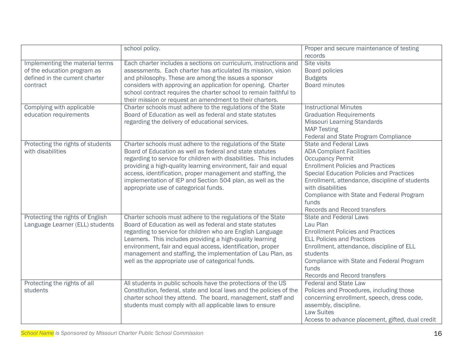|                                   | school policy.                                                      | Proper and secure maintenance of testing         |
|-----------------------------------|---------------------------------------------------------------------|--------------------------------------------------|
|                                   |                                                                     | records                                          |
| Implementing the material terms   | Each charter includes a sections on curriculum, instructions and    | Site visits                                      |
| of the education program as       | assessments. Each charter has articulated its mission, vision       | <b>Board policies</b>                            |
| defined in the current charter    | and philosophy. These are among the issues a sponsor                | <b>Budgets</b>                                   |
| contract                          | considers with approving an application for opening. Charter        | <b>Board minutes</b>                             |
|                                   | school contract requires the charter school to remain faithful to   |                                                  |
|                                   | their mission or request an amendment to their charters.            |                                                  |
| Complying with applicable         | Charter schools must adhere to the regulations of the State         | <b>Instructional Minutes</b>                     |
| education requirements            | Board of Education as well as federal and state statutes            | <b>Graduation Requirements</b>                   |
|                                   | regarding the delivery of educational services.                     | <b>Missouri Learning Standards</b>               |
|                                   |                                                                     | <b>MAP Testing</b>                               |
|                                   |                                                                     | Federal and State Program Compliance             |
| Protecting the rights of students | Charter schools must adhere to the regulations of the State         | <b>State and Federal Laws</b>                    |
| with disabilities                 | Board of Education as well as federal and state statutes            | <b>ADA Compliant Facilities</b>                  |
|                                   | regarding to service for children with disabilities. This includes  | <b>Occupancy Permit</b>                          |
|                                   | providing a high-quality learning environment, fair and equal       | <b>Enrollment Policies and Practices</b>         |
|                                   | access, identification, proper management and staffing, the         | <b>Special Education Policies and Practices</b>  |
|                                   | implementation of IEP and Section 504 plan, as well as the          | Enrollment, attendance, discipline of students   |
|                                   | appropriate use of categorical funds.                               | with disabilities                                |
|                                   |                                                                     | Compliance with State and Federal Program        |
|                                   |                                                                     | funds                                            |
|                                   |                                                                     | <b>Records and Record transfers</b>              |
| Protecting the rights of English  | Charter schools must adhere to the regulations of the State         | <b>State and Federal Laws</b>                    |
| Language Learner (ELL) students   | Board of Education as well as federal and state statutes            | Lau Plan                                         |
|                                   | regarding to service for children who are English Language          | <b>Enrollment Policies and Practices</b>         |
|                                   | Learners. This includes providing a high-quality learning           | <b>ELL Policies and Practices</b>                |
|                                   | environment, fair and equal access, identification, proper          | Enrollment, attendance, discipline of ELL        |
|                                   | management and staffing, the implementation of Lau Plan, as         | students                                         |
|                                   | well as the appropriate use of categorical funds.                   | Compliance with State and Federal Program        |
|                                   |                                                                     | funds                                            |
|                                   |                                                                     | <b>Records and Record transfers</b>              |
| Protecting the rights of all      | All students in public schools have the protections of the US       | <b>Federal and State Law</b>                     |
| students                          | Constitution, federal, state and local laws and the policies of the | Policies and Procedures, including those         |
|                                   | charter school they attend. The board, management, staff and        | concerning enrollment, speech, dress code,       |
|                                   | students must comply with all applicable laws to ensure             | assembly, discipline.                            |
|                                   |                                                                     | <b>Law Suites</b>                                |
|                                   |                                                                     | Access to advance placement, gifted, dual credit |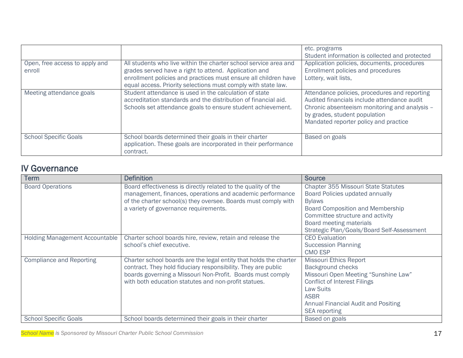|                                          |                                                                                                                                                                                         | etc. programs<br>Student information is collected and protected                                                                                                                                                         |
|------------------------------------------|-----------------------------------------------------------------------------------------------------------------------------------------------------------------------------------------|-------------------------------------------------------------------------------------------------------------------------------------------------------------------------------------------------------------------------|
| Open, free access to apply and<br>enroll | All students who live within the charter school service area and<br>grades served have a right to attend. Application and                                                               | Application policies, documents, procedures<br>Enrollment policies and procedures                                                                                                                                       |
|                                          | enrollment policies and practices must ensure all children have<br>equal access. Priority selections must comply with state law.                                                        | Lottery, wait lists,                                                                                                                                                                                                    |
| Meeting attendance goals                 | Student attendance is used in the calculation of state<br>accreditation standards and the distribution of financial aid.<br>Schools set attendance goals to ensure student achievement. | Attendance policies, procedures and reporting<br>Audited financials include attendance audit<br>Chronic absenteeism monitoring and analysis -<br>by grades, student population<br>Mandated reporter policy and practice |
| <b>School Specific Goals</b>             | School boards determined their goals in their charter<br>application. These goals are incorporated in their performance<br>contract.                                                    | Based on goals                                                                                                                                                                                                          |

| <b>IV Governance</b>                  |                                                                   |                                            |
|---------------------------------------|-------------------------------------------------------------------|--------------------------------------------|
| Term                                  | <b>Definition</b>                                                 | <b>Source</b>                              |
| <b>Board Operations</b>               | Board effectiveness is directly related to the quality of the     | <b>Chapter 355 Missouri State Statutes</b> |
|                                       | management, finances, operations and academic performance         | Board Policies updated annually            |
|                                       | of the charter school(s) they oversee. Boards must comply with    | <b>Bylaws</b>                              |
|                                       | a variety of governance requirements.                             | <b>Board Composition and Membership</b>    |
|                                       |                                                                   | Committee structure and activity           |
|                                       |                                                                   | Board meeting materials                    |
|                                       |                                                                   | Strategic Plan/Goals/Board Self-Assessment |
| <b>Holding Management Accountable</b> | Charter school boards hire, review, retain and release the        | <b>CEO</b> Evaluation                      |
|                                       | school's chief executive.                                         | <b>Succession Planning</b>                 |
|                                       |                                                                   | <b>CMO ESP</b>                             |
| <b>Compliance and Reporting</b>       | Charter school boards are the legal entity that holds the charter | <b>Missouri Ethics Report</b>              |
|                                       | contract. They hold fiduciary responsibility. They are public     | Background checks                          |
|                                       | boards governing a Missouri Non-Profit. Boards must comply        | Missouri Open Meeting "Sunshine Law"       |
|                                       | with both education statutes and non-profit statues.              | <b>Conflict of Interest Filings</b>        |
|                                       |                                                                   | <b>Law Suits</b>                           |
|                                       |                                                                   | <b>ASBR</b>                                |
|                                       |                                                                   | Annual Financial Audit and Positing        |
|                                       |                                                                   | <b>SEA</b> reporting                       |
| <b>School Specific Goals</b>          | School boards determined their goals in their charter             | Based on goals                             |